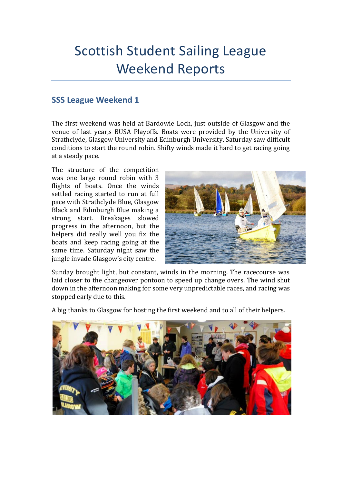## Scottish Student Sailing League Weekend Reports

## **SSS League Weekend 1**

The first weekend was held at Bardowie Loch, just outside of Glasgow and the venue of last year,s BUSA Playoffs. Boats were provided by the University of Strathclyde, Glasgow University and Edinburgh University. Saturday saw difficult conditions to start the round robin. Shifty winds made it hard to get racing going at a steady pace.

The structure of the competition was one large round robin with 3 flights of boats. Once the winds settled racing started to run at full pace with Strathclyde Blue, Glasgow Black and Edinburgh Blue making a strong start. Breakages slowed progress in the afternoon, but the helpers did really well you fix the boats and keep racing going at the same time. Saturday night saw the jungle invade Glasgow's city centre.



Sunday brought light, but constant, winds in the morning. The racecourse was laid closer to the changeover pontoon to speed up change overs. The wind shut down in the afternoon making for some very unpredictable races, and racing was stopped early due to this.

A big thanks to Glasgow for hosting the first weekend and to all of their helpers.

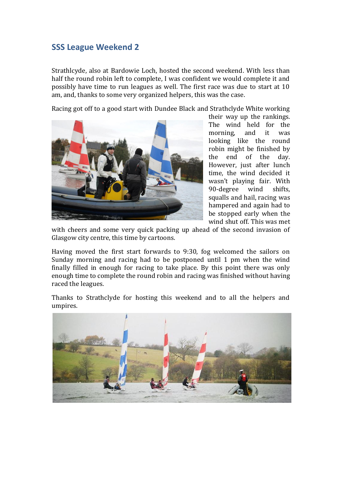## **SSS League Weekend 2**

Strathlcyde, also at Bardowie Loch, hosted the second weekend. With less than half the round robin left to complete, I was confident we would complete it and possibly have time to run leagues as well. The first race was due to start at 10 am, and, thanks to some very organized helpers, this was the case.

Racing got off to a good start with Dundee Black and Strathclyde White working



their way up the rankings. The wind held for the morning, and it was looking like the round robin might be finished by the end of the day. However, just after lunch time, the wind decided it wasn't playing fair. With 90-degree wind shifts, squalls and hail, racing was hampered and again had to be stopped early when the wind shut off. This was met

with cheers and some very quick packing up ahead of the second invasion of Glasgow city centre, this time by cartoons.

Having moved the first start forwards to 9:30, fog welcomed the sailors on Sunday morning and racing had to be postponed until 1 pm when the wind finally filled in enough for racing to take place. By this point there was only enough time to complete the round robin and racing was finished without having raced the leagues.

Thanks to Strathclyde for hosting this weekend and to all the helpers and umpires.